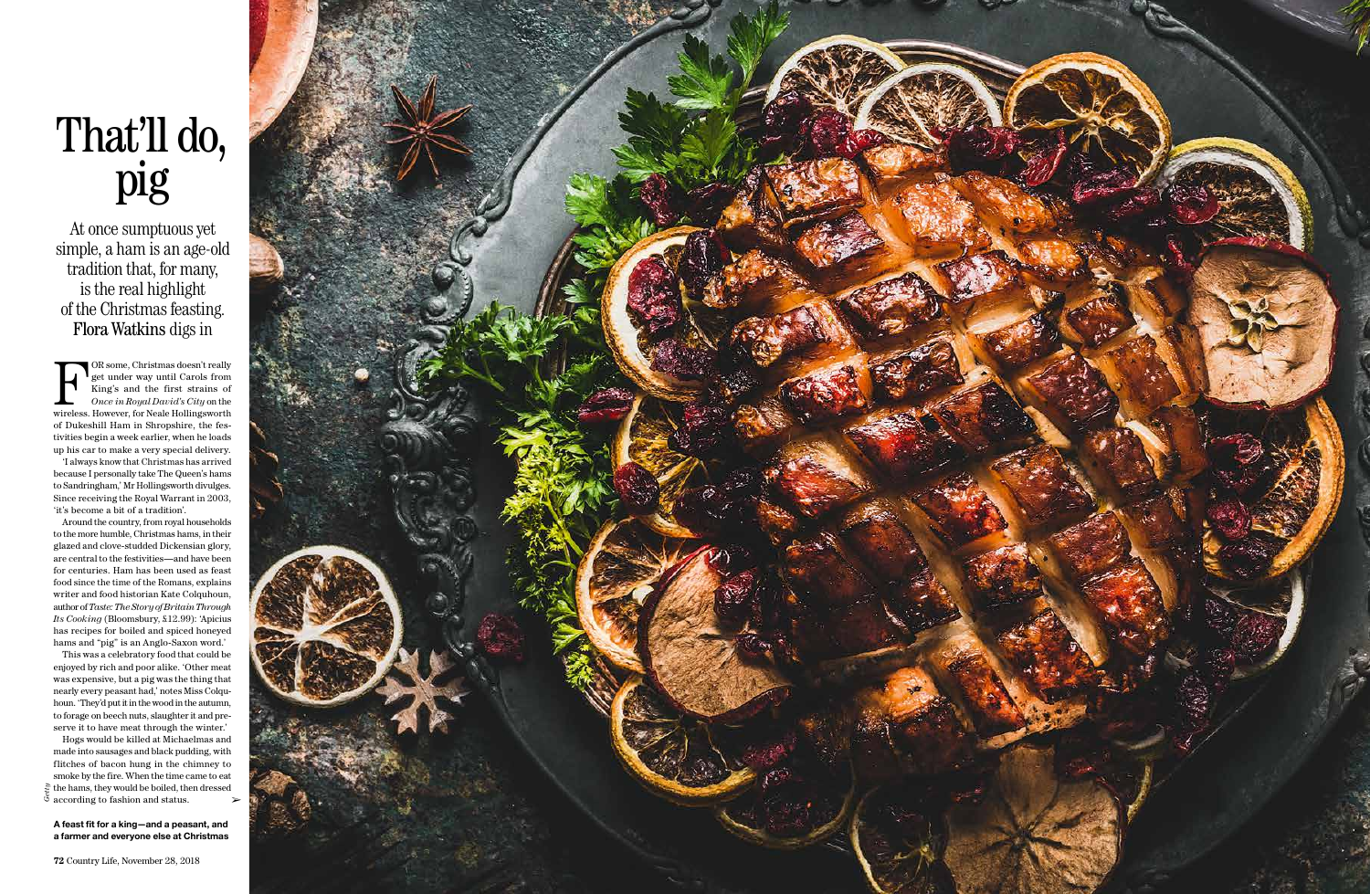## That'll do,<br>pig

At once sumptuous yet simple, a ham is an age-old tradition that, for many, is the real highlight of the Christmas feasting. Flora Watkins digs in

**For Some, Christmas doesn't really**<br>get under way until Carols from<br>King's and the first strains of<br>*Once in Royal David's City* on the<br>wireless. However, for Neale Hollingsworth get under way until Carols from King's and the first strains of *Once in Royal David's City* on the of Dukeshill Ham in Shropshire, the festivities begin a week earlier, when he loads up his car to make a very special delivery.

'I always know that Christmas has arrived because I personally take The Queen's hams to Sandringham,' Mr Hollingsworth divulges. Since receiving the Royal Warrant in 2003, 'it's become a bit of a tradition'.

Hogs would be killed at Michaelmas and made into sausages and black pudding, with flitches of bacon hung in the chimney to smoke by the fire. When the time came to eat  $\frac{15}{3}$  the hams, they would be boiled, then dressed  $\frac{3}{3}$  according to fashion and status  $\ddot{\circ}$  according to fashion and status.

Around the country, from royal households to the more humble, Christmas hams, in their glazed and clove-studded Dickensian glory, are central to the festivities—and have been for centuries. Ham has been used as feast food since the time of the Romans, explains writer and food historian Kate Colquhoun, author of *Taste: The Story of Britain Through Its Cooking* (Bloomsbury, £12.99): 'Apicius has recipes for boiled and spiced honeyed hams and "pig" is an Anglo-Saxon word.'

This was a celebratory food that could be enjoyed by rich and poor alike. 'Other meat was expensive, but a pig was the thing that nearly every peasant had,' notes Miss Colquhoun. 'They'd put it in the wood in the autumn, to forage on beech nuts, slaughter it and preserve it to have meat through the winter.'

**A feast fit for a king—and a peasant, and a farmer and everyone else at Christmas**